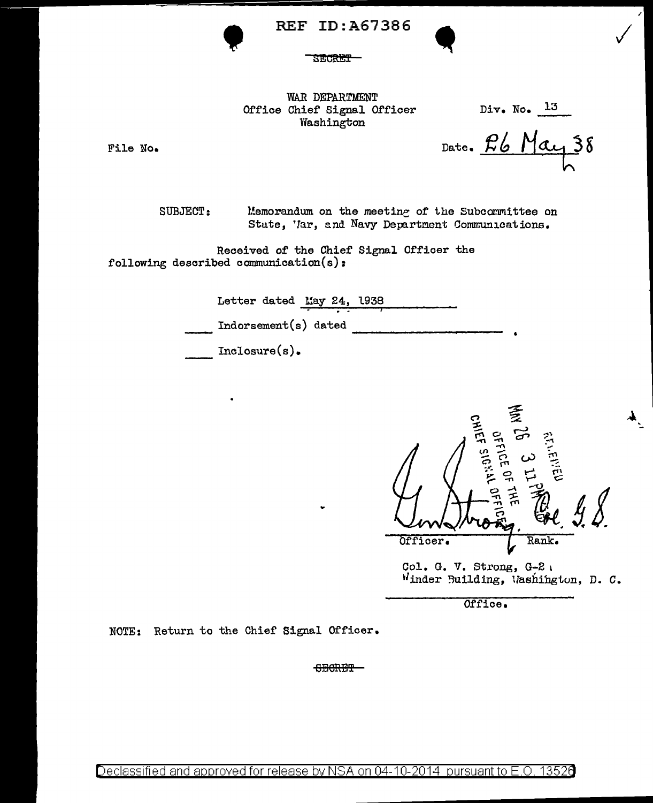REF ID:A67386

**SECRET** 

WAR DEPARTMENT Office Chief Signal Officer Washington

Div. No.  $13$ 

 $\checkmark$ 

J

':...

File No.

Date. Pb May 38

SUBJECT: Memorandum on the meeting of the Subcommittee on State, 'lar, and Navy Department Communications.

Received of the Chief Signal Officer the following described communication(s):

•

| Letter dated May 24, 1938 |  |  |  |  |
|---------------------------|--|--|--|--|
| Indorsement(s) dated      |  |  |  |  |
| $Inclosure(s)$ .          |  |  |  |  |

*-:;;.*  .. OFFICE OF ITH<br>CHIEF SIGNAL OFF -I"" *0* ~ ., ... ..., ..., .-"" -n (n - -- *(>)* ;.,-. -('} *0* \_,, .. rn <sup>~</sup> <u>ጀዳ</u> ፫ ප 0. Und trong of *&t* . Rank. Officer. Col. G. V. Strong, G-2 <sup>1</sup>

Winder Building, Washington, D. C.

Office.

NOTE: Return to the Chief Signal Officer.

SECRET-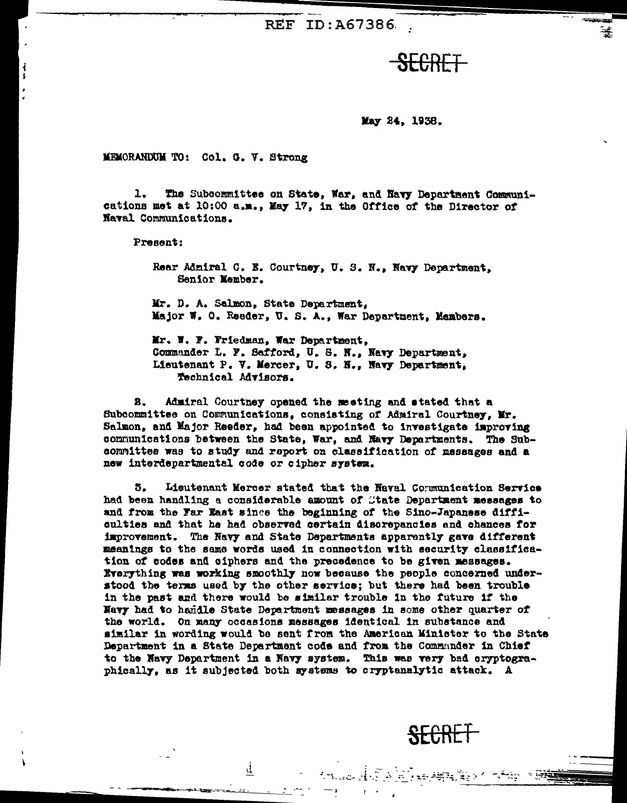REF ID:A67386

<del>SECRET</del>

May 24, 1938.

MEMORANDUM TO: Col. G. V. Strong

 $1.$ The Subcommittee on State, War, and Navy Department Communications met at 10:00 a.m., May 17, in the Office of the Director of Naval Communications.

Present:

Rear Admiral C. E. Courtney, U. S. N., Navy Department, Senior Nember.

Mr. D. A. Salmon, State Department, Major W. O. Reeder, U. S. A., War Department, Members.

Mr. W. F. Friedman, War Department. Commander L. F. Sefford, U. S. N., Navy Department, Lieutenant P. V. Mercer, U. S. N., Navy Department, Technical Advisors.

В. Admiral Courtney opened the meeting and stated that a Subcommittee on Communications, consisting of Admiral Courtney, Mr. Salmon, and Major Reeder, had been appointed to investigate improving communications between the State, War, and Navy Departments. The Subcommittee was to study and report on classification of messages and a new interdepartmental code or cipher system.

5. Lieutenant Mercer stated that the Naval Communication Service had been handling a considerable amount of State Department messages to and from the Far East since the beginning of the Sino-Japanese difficulties and that he had observed certain discrepancies and chances for improvement. The Navy and State Departments apparently gave different meanings to the same words used in connection with security classification of codes and ciphers and the precedence to be given messages. Everything was working smoothly now because the people concerned understood the terms used by the other service; but there had been trouble in the past and there would be similar trouble in the future if the Navy had to handle State Department messages in some other quarter of the world. On many occasions messages identical in substance and similar in wording would be sent from the American Minister to the State Department in a State Department code and from the Communder in Chief to the Navy Department in a Navy system. This was very bad cryptographically, as it subjected both systems to cryptanalytic attack. A

₫.

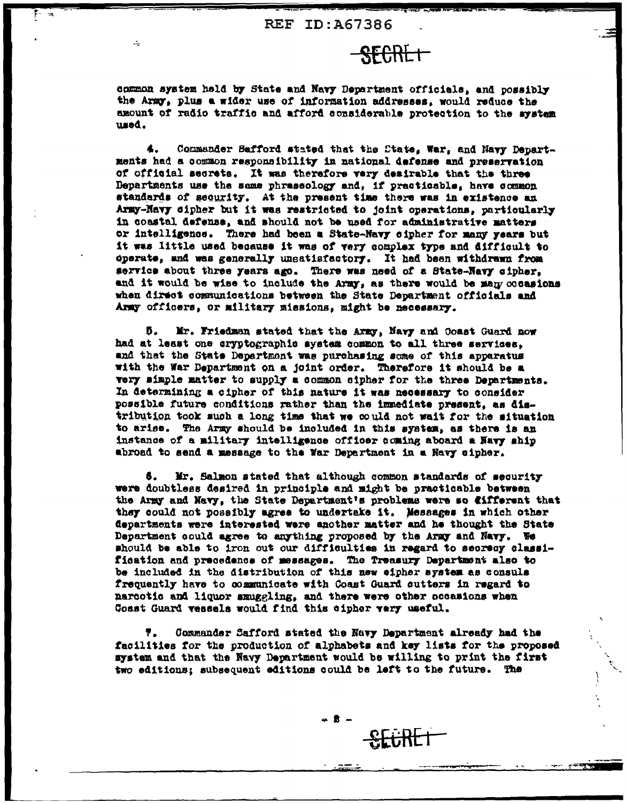SECRET

common system held by State and Navy Department officials, and possibly the Army, plus a wider use of information addresses, would reduce the amount of radio traffic and afford considerable protection to the system used.

Commander Safford stated that the Ctate, War, and Navy Departments had a common responsibility in national defense and preservation of official secrets. It was therefore very desirable that the three Departments use the same phraseology and, if practicable, have common standards of sequrity, At the present time there was in existence an Army-Navy cipher but it was restricted to joint operations, particularly in coastal defense, and should not be used for administrative matters or intelligence. There had been a State-Navy cipher for many years but it was little used because it was of very complex type and difficult to operate, and was generally unsatisfactory. It had been withdrawn from servics about three years ago. There was need of a State-Navy cipher. and it would be wise to include the Army, as there would be many cocasions when direct communications between the State Department officials and Army officers, or military missions, might be necessary.

Mr. Friedman stated that the Army, Navy and Coast Guard now Ď. had at least one cryptographic system common to all three services. and that the State Department was purchasing some of this apparatus with the War Department on a joint order. Therefore it should be a very mimple matter to supply a common eipher for the three Departments. In determining a cipher of this nature it was necessary to consider possible future conditions rather than the immediate present, as distribution took such a long time that we could not wait for the situation to arise. The Army should be included in this system, as there is an instance of a military intelligence officer coming aboard a Havy ship abroad to send a message to the War Department in a Navy cipher.

Mr. Salmon stated that although common standards of security 6. were doubtless desired in principle and might be practicable between the Army and Navy, the State Department's problems were so fifferent that they could not possibly agree to undertake it. Messages in which other departments were interested were another matter and he thought the State Department could agree to anything proposed by the Army and Navy. We should be able to iron out our difficulties in regard to secrecy classification and precedence of messages. The Treasury Department also to be included in the distribution of this new eipher system as consuls frequently have to communicate with Coast Guard cutters in regard to narcotic and liquor smuggling, and there were other occasions when Coast Guard vessels would find this cipher very useful.

Ÿ., Commander Safford stated the Navy Department already had the facilities for the production of alphabets and key lists for the proposed system and that the Navy Department would be willing to print the first two editions; subsequent editions could be left to the future. The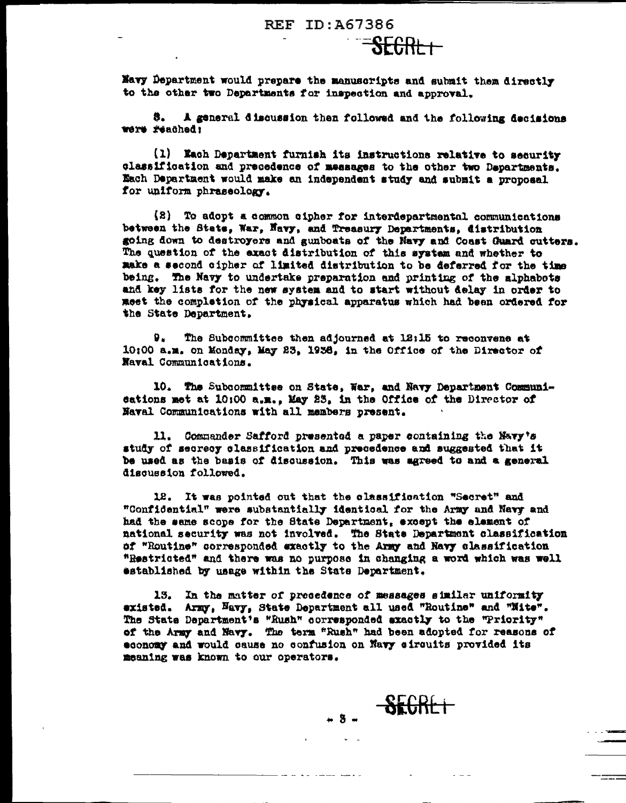#### REF ID: A67386

Navy Department would prepare the manuscripts and submit them directly to the other two Departments for inspection and approval.

<del>SEGRL I</del>

8. A general discussion then followed and the following decisions were reached:

(1) Each Department furnish its instructions relative to security classification and precedence of messages to the other two Departments. Each Department would make an independent study and submit a proposal for uniform phraseology.

(2) To adopt a common cipher for interdepartmental communications between the State, War, Navy, and Treasury Departments, distribution going down to destroyers and gunboats of the Navy and Coast Guard cutters. The question of the exact distribution of this system and whether to make a second cipher of limited distribution to be deferred for the time being. The Navy to undertake preparation and printing of the alphabots and key lists for the new system and to start without delay in order to meet the completion of the physical apparatus which had been ordered for the State Department.

9. The Subcommittee then adjourned at 12:15 to reconvene at 10:00 a.m. on Monday, May 23, 1938, in the Office of the Director of Naval Communications.

10. The Subcommittee on State, War, and Navy Department Communieations met at 10:00 a.m., May 23, in the Office of the Director of Naval Communications with all members present.

11. Commander Safford presented a paper containing the Navy's study of secreoy classification and precedence and suggested that it be used as the basis of discussion. This was agreed to and a general discussion followed.

12. It was pointed out that the classification "Secret" and "Confidential" were substantially identical for the Army and Navy and had the same scope for the State Department, except the element of national security was not involved. The State Department classification of "Routine" corresponded exactly to the Army and Navy classification "Restricted" and there was no purpose in changing a word which was well established by usage within the State Department.

13. In the matter of precedence of messages similar uniformity existed. Army, Navy, State Department all used "Routine" and "Nite". The State Department's "Rush" corresponded exactly to the "Priority" of the Army and Navy. The term "Rush" had been adopted for reasons of economy and would cause no confusion on Navy eircuits provided its meaning was known to our operators.

-----

 $-8 - \frac{85686+}{86666}$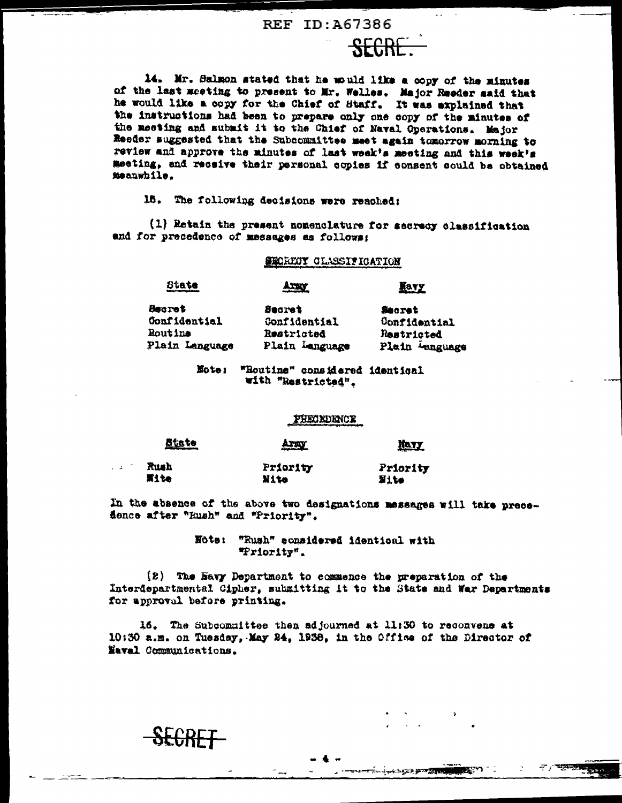#### REF ID: A67386

**SECRE** 

14. Mr. Salmon stated that he would like a copy of the minutes of the last meeting to present to Mr. Welles. Major Reeder said that he would like a copy for the Chief of Staff. It was explained that the instructions had been to prepare only one copy of the minutes of the meeting and submit it to the Chief of Naval Operations. Major Reeder suggested that the Subcommittee meet again tomorrow morning to review and approve the minutes of last week's meeting and this week's meeting, and receive their personal copies if consent could be obtained meanwhile.

15. The following decisions were reached:

(1) Retain the present nomenclature for secrecy classification and for precedence of messages as follows:

## SECREOY CLASSIFICATION

## State

<del>SLCRET</del>

**Havy** 

 $\tau$  , where  $\tau$ 

**BASES** 

ニュー・エス はつのあ

| Becrot              | <b>Secret</b>  | Secret<br>Confidential<br>Restricted |  |
|---------------------|----------------|--------------------------------------|--|
| <b>Confidential</b> | Confidential   |                                      |  |
| <b>Routine</b>      | Restricted     |                                      |  |
| Plain Language      | Plain Language | Plain Language                       |  |

Axxx

Note: "Routine" considered identical with "Restricted".

#### PHECEDENCE

| <u>Atate</u> | <b>ATAL</b> | <b>HAYY</b> |
|--------------|-------------|-------------|
|              |             |             |

| $\sim$ | Rush | Priority | Priority |
|--------|------|----------|----------|
|        | 再生物  | Nito     | Nite     |

In the absence of the above two designations messages will take precedence after "Eush" and "Priority".

> "Rush" considered identical with Note: "Priority".

(2) The Bavy Department to commence the preparation of the Interdepartmental Cipher, submitting it to the State and War Departments for approval before printing.

16. The Subcommittee then adjourned at 11:30 to reconvene at 10:30 a.m. on Tuesday, May 24, 1938, in the Office of the Director of Naval Communications.